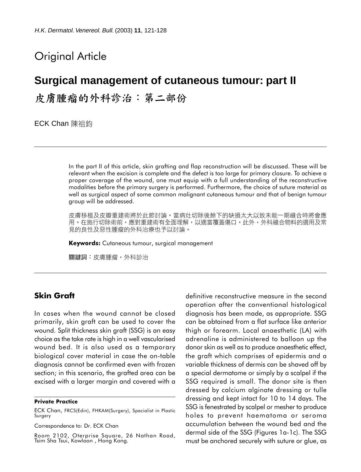# Original Article

# **Surgical management of cutaneous tumour: part II**

皮膚腫瘤的外科診治:第二部份

ECK Chan 陳祖鈞

In the part II of this article, skin grafting and flap reconstruction will be discussed. These will be relevant when the excision is complete and the defect is too large for primary closure. To achieve a proper coverage of the wound, one must equip with a full understanding of the reconstructive modalities before the primary surgery is performed. Furthermore, the choice of suture material as well as surgical aspect of some common malignant cutaneous tumour and that of benign tumour group will be addressed.

皮膚移植及皮瓣重建術將於此節討論。當病灶切除後餘下的缺損太大以致未能一期縫合時將會應 用。在施行切除術前,應對重建術有全面理解,以適當覆蓋傷口。此外,外科縫合物料的選用及常 見的良性及惡性腫瘤的外科治療也予以討論。

Keywords: Cutaneous tumour, surgical management

關鍵詞:皮膚腫瘤,外科診治

## Skin Graft

In cases when the wound cannot be closed primarily, skin graft can be used to cover the wound. Split thickness skin graft (SSG) is an easy choice as the take rate is high in a well vascularised wound bed. It is also used as a temporary biological cover material in case the on-table diagnosis cannot be confirmed even with frozen section; in this scenario, the grafted area can be excised with a larger margin and covered with a

#### Private Practice

Correspondence to: Dr. ECK Chan

Room 2102, Oterprise Square, 26 Nathan Road, Tsim Sha Tsui, Kowloon , Hong Kong.

definitive reconstructive measure in the second operation after the conventional histological diagnosis has been made, as appropriate. SSG can be obtained from a flat surface like anterior thigh or forearm. Local anaesthetic (LA) with adrenaline is administered to balloon up the donor skin as well as to produce anaesthetic effect, the graft which comprises of epidermis and a variable thickness of dermis can be shaved off by a special dermatome or simply by a scalpel if the SSG required is small. The donor site is then dressed by calcium alginate dressing or tulle dressing and kept intact for 10 to 14 days. The SSG is fenestrated by scalpel or mesher to produce holes to prevent haematoma or seroma accumulation between the wound bed and the dermal side of the SSG (Figures 1a-1c). The SSG must be anchored securely with suture or glue, as

ECK Chan, FRCS(Edin), FHKAM(Surgery), Specialist in Plastic Surgery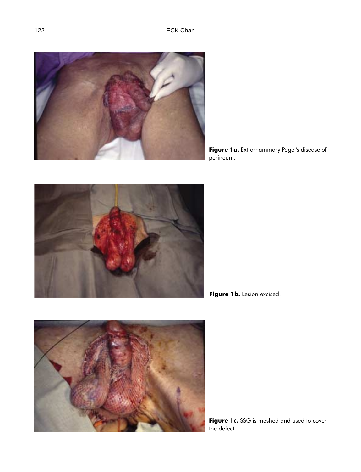

Figure 1a. Extramammary Paget's disease of perineum.



Figure 1b. Lesion excised.



Figure 1c. SSG is meshed and used to cover the defect.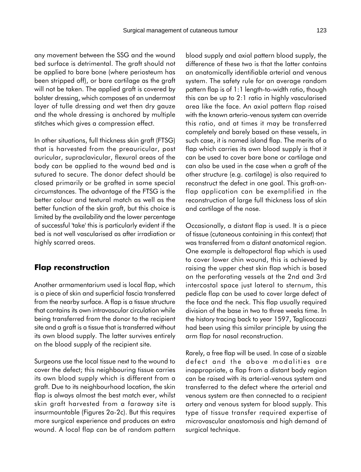any movement between the SSG and the wound bed surface is detrimental. The graft should not be applied to bare bone (where periosteum has been stripped off), or bare cartilage as the graft will not be taken. The applied graft is covered by bolster dressing, which composes of an undermost layer of tulle dressing and wet then dry gauze and the whole dressing is anchored by multiple stitches which gives a compression effect.

In other situations, full thickness skin graft (FTSG) that is harvested from the preauricular, post auricular, supraclavicular, flexural areas of the body can be applied to the wound bed and is sutured to secure. The donor defect should be closed primarily or be grafted in some special circumstances. The advantage of the FTSG is the better colour and textural match as well as the better function of the skin graft, but this choice is limited by the availability and the lower percentage of successful 'take' this is particularly evident if the bed is not well vascularised as after irradiation or highly scarred areas.

#### Flap reconstruction

Another armamentarium used is local flap, which is a piece of skin and superficial fascia transferred from the nearby surface. A flap is a tissue structure that contains its own intravascular circulation while being transferred from the donor to the recipient site and a graft is a tissue that is transferred without its own blood supply. The latter survives entirely on the blood supply of the recipient site.

Surgeons use the local tissue next to the wound to cover the defect; this neighbouring tissue carries its own blood supply which is different from a graft. Due to its neighbourhood location, the skin flap is always almost the best match ever, whilst skin graft harvested from a faraway site is insurmountable (Figures 2a-2c). But this requires more surgical experience and produces an extra wound. A local flap can be of random pattern blood supply and axial pattern blood supply, the difference of these two is that the latter contains an anatomically identifiable arterial and venous system. The safety rule for an average random pattern flap is of 1:1 length-to-width ratio, though this can be up to 2:1 ratio in highly vascularised area like the face. An axial pattern flap raised with the known arterio-venous system can override this ratio, and at times it may be transferred completely and barely based on these vessels, in such case, it is named island flap. The merits of a flap which carries its own blood supply is that it can be used to cover bare bone or cartilage and can also be used in the case when a graft of the other structure (e.g. cartilage) is also required to reconstruct the defect in one goal. This graft-onflap application can be exemplified in the reconstruction of large full thickness loss of skin and cartilage of the nose.

Occasionally, a distant flap is used. It is a piece of tissue (cutaneous containing in this context) that was transferred from a distant anatomical region. One example is deltopectoral flap which is used to cover lower chin wound, this is achieved by raising the upper chest skin flap which is based on the perforating vessels at the 2nd and 3rd intercostal space just lateral to sternum, this pedicle flap can be used to cover large defect of the face and the neck. This flap usually required division of the base in two to three weeks time. In the history tracing back to year 1597, Taglicocozzi had been using this similar principle by using the arm flap for nasal reconstruction.

Rarely, a free flap will be used. In case of a sizable defect and the above modalities are inappropriate, a flap from a distant body region can be raised with its arterial-venous system and transferred to the defect where the arterial and venous system are then connected to a recipient artery and venous system for blood supply. This type of tissue transfer required expertise of microvascular anastomosis and high demand of surgical technique.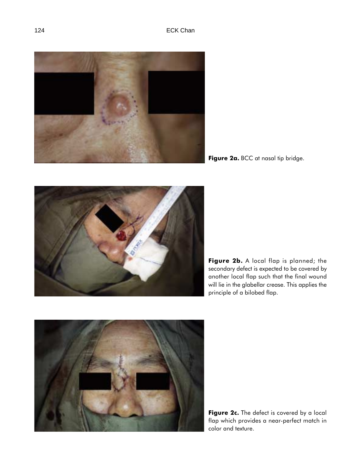

Figure 2a. BCC at nasal tip bridge.



Figure 2b. A local flap is planned; the secondary defect is expected to be covered by another local flap such that the final wound will lie in the glabellar crease. This applies the principle of a bilobed flap.



Figure 2c. The defect is covered by a local flap which provides a near-perfect match in color and texture.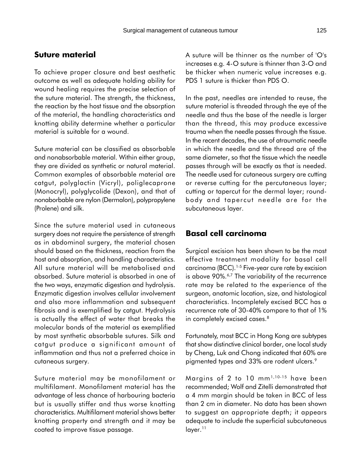### Suture material

To achieve proper closure and best aesthetic outcome as well as adequate holding ability for wound healing requires the precise selection of the suture material. The strength, the thickness, the reaction by the host tissue and the absorption of the material, the handling characteristics and knotting ability determine whether a particular material is suitable for a wound.

Suture material can be classified as absorbable and nonabsorbable material. Within either group, they are divided as synthetic or natural material. Common examples of absorbable material are catgut, polyglactin (Vicryl), poliglecaprone (Monocryl), polyglycolide (Dexon), and that of nonaborbable are nylon (Dermalon), polypropylene (Prolene) and silk.

Since the suture material used in cutaneous surgery does not require the persistence of strength as in abdominal surgery, the material chosen should based on the thickness, reaction from the host and absorption, and handling characteristics. All suture material will be metabolised and absorbed. Suture material is absorbed in one of the two ways, enzymatic digestion and hydrolysis. Enzymatic digestion involves cellular involvement and also more inflammation and subsequent fibrosis and is exemplified by catgut. Hydrolysis is actually the effect of water that breaks the molecular bonds of the material as exemplified by most synthetic absorbable sutures. Silk and catgut produce a significant amount of inflammation and thus not a preferred choice in cutaneous surgery.

Suture material may be monofilament or multifilament. Monofilament material has the advantage of less chance of harbouring bacteria but is usually stiffer and thus worse knotting characteristics. Multifilament material shows better knotting property and strength and it may be coated to improve tissue passage.

A suture will be thinner as the number of 'O's increases e.g. 4-O suture is thinner than 3-O and be thicker when numeric value increases e.g. PDS 1 suture is thicker than PDS O.

In the past, needles are intended to reuse, the suture material is threaded through the eye of the needle and thus the base of the needle is larger than the thread, this may produce excessive trauma when the needle passes through the tissue. In the recent decades, the use of atraumatic needle in which the needle and the thread are of the same diameter, so that the tissue which the needle passes through will be exactly as that is needed. The needle used for cutaneous surgery are cutting or reverse cutting for the percutaneous layer; cutting or tapercut for the dermal layer; roundbody and tapercut needle are for the subcutaneous layer.

## Basal cell carcinoma

Surgical excision has been shown to be the most effective treatment modality for basal cell carcinoma (BCC).<sup>1-5</sup> Five-year cure rate by excision is above 90%.<sup>6,7</sup> The variability of the recurrence rate may be related to the experience of the surgeon, anatomic location, size, and histological characteristics. Incompletely excised BCC has a recurrence rate of 30-40% compare to that of 1% in completely excised cases.<sup>8</sup>

Fortunately, most BCC in Hong Kong are subtypes that show distinctive clinical border, one local study by Cheng, Luk and Chong indicated that 60% are pigmented types and 33% are rodent ulcers.<sup>9</sup>

Margins of 2 to 10 mm<sup>1,10-15</sup> have been recommended; Wolf and Zitelli demonstrated that a 4 mm margin should be taken in BCC of less than 2 cm in diameter. No data has been shown to suggest an appropriate depth; it appears adequate to include the superficial subcutaneous layer.<sup>11</sup>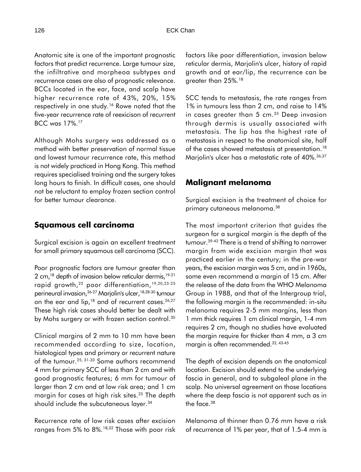Anatomic site is one of the important prognostic factors that predict recurrence. Large tumour size, the infiltrative and morpheoa subtypes and recurrence cases are also of prognostic relevance. BCCs located in the ear, face, and scalp have higher recurrence rate of 43%, 20%, 15% respectively in one study.<sup>16</sup> Rowe noted that the five-year recurrence rate of reexicison of recurrent BCC was 17%.<sup>17</sup>

Although Mohs surgery was addressed as a method with better preservation of normal tissue and lowest tumour recurrence rate, this method is not widely practiced in Hong Kong. This method requires specialised training and the surgery takes long hours to finish. In difficult cases, one should not be reluctant to employ frozen section control for better tumour clearance.

# Squamous cell carcinoma

Surgical excision is again an excellent treatment for small primary squamous cell carcinoma (SCC).

Poor prognostic factors are tumour greater than 2 cm, $^{18}$  depth of invasion below reticular dermis,  $^{19-21}$ rapid growth,<sup>22</sup> poor differentiation,<sup>19,20,23-25</sup> perineural invasion,26-27 Marjolin's ulcer,18,28-30 tumour on the ear and lip,<sup>18</sup> and of recurrent cases.<sup>26,27</sup> These high risk cases should better be dealt with by Mohs surgery or with frozen section control.<sup>30</sup>

Clinical margins of 2 mm to 10 mm have been recommended according to size, location, histological types and primary or recurrent nature of the tumour.25, 31-33 Some authors recommend 4 mm for primary SCC of less than 2 cm and with good prognostic features; 6 mm for tumour of larger than 2 cm and at low risk area; and 1 cm margin for cases at high risk sites.<sup>25</sup> The depth should include the subcutaneous layer.<sup>34</sup>

Recurrence rate of low risk cases after excision ranges from 5% to 8%.18,32 Those with poor risk factors like poor differentiation, invasion below reticular dermis, Marjolin's ulcer, history of rapid growth and at ear/lip, the recurrence can be greater than 25%.<sup>18</sup>

SCC tends to metastasis, the rate ranges from 1% in tumours less than 2 cm, and raise to 14% in cases greater than 5 cm.<sup>35</sup> Deep invasion through dermis is usually associated with metastasis. The lip has the highest rate of metastasis in respect to the anatomical site, half of the cases showed metastasis at presentation.<sup>18</sup> Marjolin's ulcer has a metastatic rate of 40%.<sup>36,37</sup>

#### Malignant melanoma

Surgical excision is the treatment of choice for primary cutaneous melanoma.<sup>38</sup>

The most important criterion that guides the surgeon for a surgical margin is the depth of the tumour.39-42 There is a trend of shifting to narrower margin from wide excision margin that was practiced earlier in the century; in the pre-war years, the excision margin was 5 cm, and in 1960s, some even recommend a margin of 15 cm. After the release of the data from the WHO Melanoma Group in 1988, and that of the Intergroup trial, the following margin is the recommended: in-situ melanoma requires 2-5 mm margins, less than 1 mm thick requires 1 cm clinical margin, 1-4 mm requires 2 cm, though no studies have evaluated the margin require for thicker than 4 mm, a 3 cm margin is often recommended.32, 43-45

The depth of excision depends on the anatomical location. Excision should extend to the underlying fascia in general, and to subgaleal plane in the scalp. No universal agreement on those locations where the deep fascia is not apparent such as in the face.<sup>38</sup>

Melanoma of thinner than 0.76 mm have a risk of recurrence of 1% per year, that of 1.5-4 mm is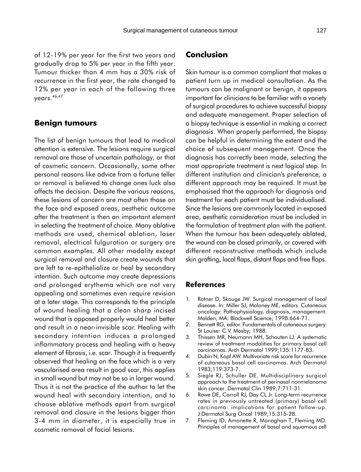of 12-19% per year for the first two years and gradually drop to 5% per year in the fifth year. Tumour thicker than 4 mm has a 30% risk of recurrence in the first year, the rate changed to 12% per year in each of the following three years.46,47

#### Benign tumours

The list of benign tumours that lead to medical attention is extensive. The lesions require surgical removal are those of uncertain pathology, or that of cosmetic concern. Occasionally, some other personal reasons like advice from a fortune teller or removal is believed to change ones luck also affects the decision. Despite the various reasons, these lesions of concern are most often those on the face and exposed areas, aesthetic outcome after the treatment is then an important element in selecting the treatment of choice. Many ablative methods are used, chemical ablation, laser removal, electrical fulguration or surgery are common examples. All other modality except surgical removal and closure create wounds that are left to re-epithelialize or heal by secondary intention. Such outcome may create depressions and prolonged erythema which are not very appealing and sometimes even require revision at a later stage. This corresponds to the principle of wound healing that a clean sharp incised wound that is opposed properly would heal better and result in a near-invisible scar. Healing with secondary intention induces a prolonged inflammatory process and healing with a heavy element of fibrosis, i.e. scar. Though it is frequently observed that healing on the face which is a very vascularised area result in good scar, this applies in small wound but may not be so in larger wound. Thus it is not the practice of the author to let the wound heal with secondary intention, and to choose ablative methods apart from surgical removal and closure in the lesions bigger than 3-4 mm in diameter, it is especially true in cosmetic removal of facial lesions.

#### Conclusion

Skin tumour is a common compliant that makes a patient turn up in medical consultation. As the tumours can be malignant or benign, it appears important for clinicians to be familiar with a variety of surgical procedures to achieve successful biopsy and adequate management. Proper selection of a biopsy technique is essential in making a correct diagnosis. When properly performed, the biopsy can be helpful in determining the extent and the choice of subsequent management. Once the diagnosis has correctly been made, selecting the most appropriate treatment is next logical step. In different institution and clinician's preference, a different approach may be required. It must be emphasised that the approach for diagnosis and treatment for each patient must be individualised. Since the lesions are commonly located in exposed area, aesthetic consideration must be included in the formulation of treatment plan with the patient. When the tumour has been adequately ablated, the wound can be closed primarily, or covered with different reconstructive methods which include skin grafting, local flaps, distant flaps and free flaps.

#### References

- 1. Ratner D, Skouge JW. Surgical management of local disease. In: Miller SJ, Maloney ME, editors. Cutaneous oncology: Pathophysiology, diagnosis, management. Malden, MA: Blackwell Science; 1998:664-71.
- 2. Bennett RG, editor. Fundamentals of cutaneous surgery. St Louise: C.V. Mosby; 1988.
- 3. Thissen MR, Neumann MH, Schouten LJ. A systematic review of treatment modalities for primary basal cell carcinomas. Arch Dermatol 1999;135:1177-83.
- 4. Dubin N, Kopf AW. Multivariate risk score for recurrence of cutaneous basal cell carcinomas. Arch Dermatol 1983;119:373-7.
- 5. Siegle RJ, Schuller DE. Multidisciplinary surgical approach to the treatment of perinasal nonmelanoma skin cancer. Dermatol Clin 1989;7:711-31.
- 6. Rowe DE, Carroll RJ, Day CL Jr. Long-term recurrence rates in previously untreated (primary) basal cell carcinoma: implications for patient follow-up. J Dermatol Surg Oncol 1989;15:315-28.
- 7. Fleming ID, Amonette R, Monaghan T, Fleming MD. Principles of management of basal and squamous cell